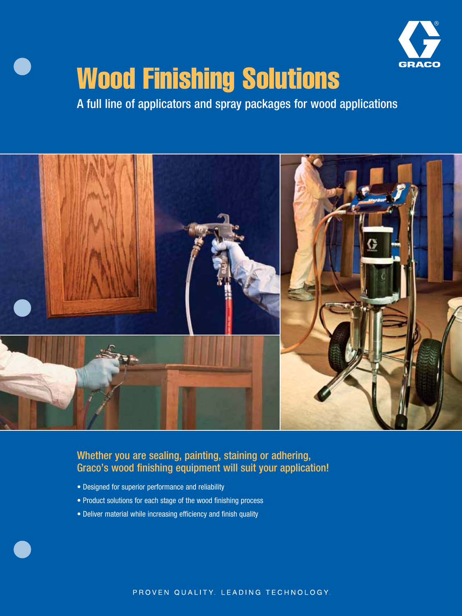

# Wood Finishing Solutions

A full line of applicators and spray packages for wood applications



Whether you are sealing, painting, staining or adhering, Graco's wood finishing equipment will suit your application!

- Designed for superior performance and reliability
- Product solutions for each stage of the wood finishing process
- Deliver material while increasing efficiency and finish quality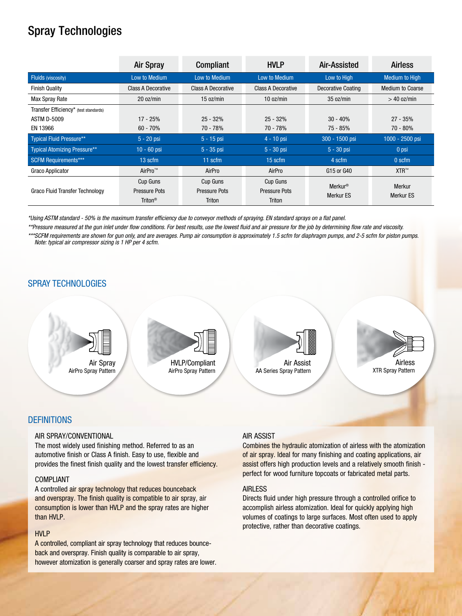# Spray Technologies

|                                       | <b>Air Spray</b>          | <b>Compliant</b>     | <b>HVLP</b>               | Air-Assisted              | <b>Airless</b>          |
|---------------------------------------|---------------------------|----------------------|---------------------------|---------------------------|-------------------------|
| <b>Fluids (viscosity)</b>             | Low to Medium             | Low to Medium        | Low to Medium             | Low to High               | <b>Medium to High</b>   |
| <b>Finish Quality</b>                 | <b>Class A Decorative</b> | Class A Decorative   | <b>Class A Decorative</b> | <b>Decorative Coating</b> | <b>Medium to Coarse</b> |
| Max Spray Rate                        | 20 oz/min                 | 15 oz/min            | 10 oz/min                 | 35 oz/min                 | $>$ 40 oz/min           |
| Transfer Efficiency* (test standards) |                           |                      |                           |                           |                         |
| <b>ASTM D-5009</b>                    | 17 - 25%                  | $25 - 32%$           | $25 - 32%$                | $30 - 40%$                | $27 - 35%$              |
| EN 13966                              | $60 - 70%$                | 70 - 78%             | $70 - 78%$                | 75 - 85%                  | 70 - 80%                |
| <b>Typical Fluid Pressure**</b>       | $5 - 20$ psi              | $5 - 15$ psi         | $4 - 10$ psi              | 300 - 1500 psi            | 1000 - 2500 psi         |
| <b>Typical Atomizing Pressure**</b>   | $10 - 60$ psi             | $5 - 35$ psi         | $5 - 30$ psi              | $5 - 30$ psi              | 0 psi                   |
| <b>SCFM Requirements***</b>           | 13 scfm                   | $11$ scfm            | $15$ scfm                 | 4 scfm                    | 0 scfm                  |
| Graco Applicator                      | AirPro™                   | AirPro               | AirPro                    | G15 or G40                | $XTR^m$                 |
|                                       | Cup Guns                  | Cup Guns             | Cup Guns                  | <b>Merkur<sup>®</sup></b> | Merkur                  |
| Graco Fluid Transfer Technology       | <b>Pressure Pots</b>      | <b>Pressure Pots</b> | <b>Pressure Pots</b>      | Merkur ES                 | Merkur ES               |
|                                       | Triton <sup>®</sup>       | <b>Triton</b>        | <b>Triton</b>             |                           |                         |

\*Using ASTM standard - 50% is the maximum transfer efficiency due to conveyor methods of spraying. EN standard sprays on a flat panel.

\*\*Pressure measured at the gun inlet under flow conditions. For best results, use the lowest fluid and air pressure for the job by determining flow rate and viscosity.

\*\*\*SCFM requirements are shown for gun only, and are averages. Pump air consumption is approximately 1.5 scfm for diaphragm pumps, and 2-5 scfm for piston pumps. *Note: typical air compressor sizing is 1 HP per 4 scfm.*

# SPRAY TECHNOLOGIES



#### **DEFINITIONS**

#### Air Spray/CONVENTIONAL

The most widely used finishing method. Referred to as an automotive finish or Class A finish. Easy to use, flexible and provides the finest finish quality and the lowest transfer efficiency.

#### compliant

A controlled air spray technology that reduces bounceback and overspray. The finish quality is compatible to air spray, air consumption is lower than HVLP and the spray rates are higher than HVLP.

#### HVLP

A controlled, compliant air spray technology that reduces bounceback and overspray. Finish quality is comparable to air spray, however atomization is generally coarser and spray rates are lower.

#### **AIR ASSIST**

Combines the hydraulic atomization of airless with the atomization of air spray. Ideal for many finishing and coating applications, air assist offers high production levels and a relatively smooth finish perfect for wood furniture topcoats or fabricated metal parts.

#### **AIRLESS**

Directs fluid under high pressure through a controlled orifice to accomplish airless atomization. Ideal for quickly applying high volumes of coatings to large surfaces. Most often used to apply protective, rather than decorative coatings.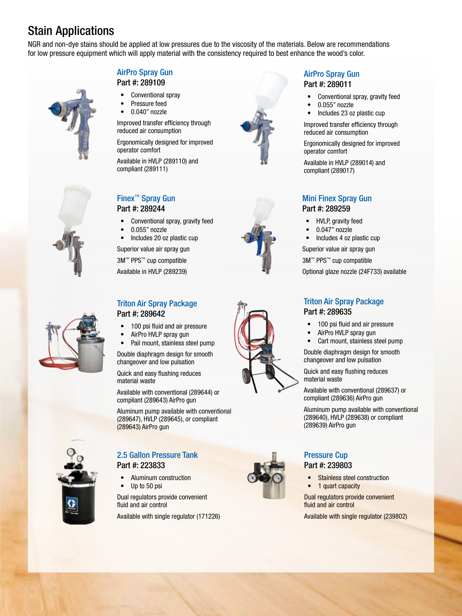# Stain Applications

NGR and non-dye stains should be applied at low pressures due to the viscosity of the materials. Below are recommendations for low pressure equipment which will apply material with the consistency required to best enhance the wood's color.

#### AirPro Spray Gun Part #: 289109





- Conventional spray
- Pressure feed
- 0.040" nozzle

Improved transfer efficiency through reduced air consumption

Ergonomically designed for improved operator comfort

Available in HVLP (289110) and compliant (289111)

# Finex™ Spray Gun Part #: 289244

- Conventional spray, gravity feed
- 0.055" nozzle
- Includes 20 oz plastic cup

Superior value air spray gun

3M™ PPS™ cup compatible

Available in HVLP (289239)

#### Triton Air Spray Package Part #: 289642

- 100 psi fluid and air pressure
- AirPro HVLP spray gun
- Pail mount, stainless steel pump

Double diaphragm design for smooth changeover and low pulsation

Quick and easy flushing reduces material waste

Available with conventional (289644) or compliant (289643) AirPro gun

Aluminum pump available with conventional (289647), HVLP (289645), or compliant (289643) AirPro gun



# 2.5 Gallon Pressure Tank Part #: 223833

• Aluminum construction Up to 50 psi

Dual regulators provide convenient fluid and air control

Available with single regulator (171226)







## AirPro Spray Gun Part #: 289011

- Conventional spray, gravity feed
- 0.055" nozzle
- Includes 23 oz plastic cup

Improved transfer efficiency through reduced air consumption

Ergonomically designed for improved operator comfort

Available in HVLP (289014) and compliant (289017)

## Mini Finex Spray Gun Part #: 289259

- HVLP, gravity feed
- 0.047" nozzle
- Includes 4 oz plastic cup

Superior value air spray gun

3M™ PPS™ cup compatible

Optional glaze nozzle (24F733) available

# Triton Air Spray Package Part #: 289635

- 100 psi fluid and air pressure
- AirPro HVLP spray gun
- Cart mount, stainless steel pump

Double diaphragm design for smooth changeover and low pulsation

Quick and easy flushing reduces material waste

Available with conventional (289637) or compliant (289636) AirPro gun

Aluminum pump available with conventional (289640), HVLP (289638) or compliant (289639) AirPro gun

#### Pressure Cup Part #: 239803

**Stainless steel construction** • 1 quart capacity

Dual regulators provide convenient fluid and air control

Available with single regulator (239802)